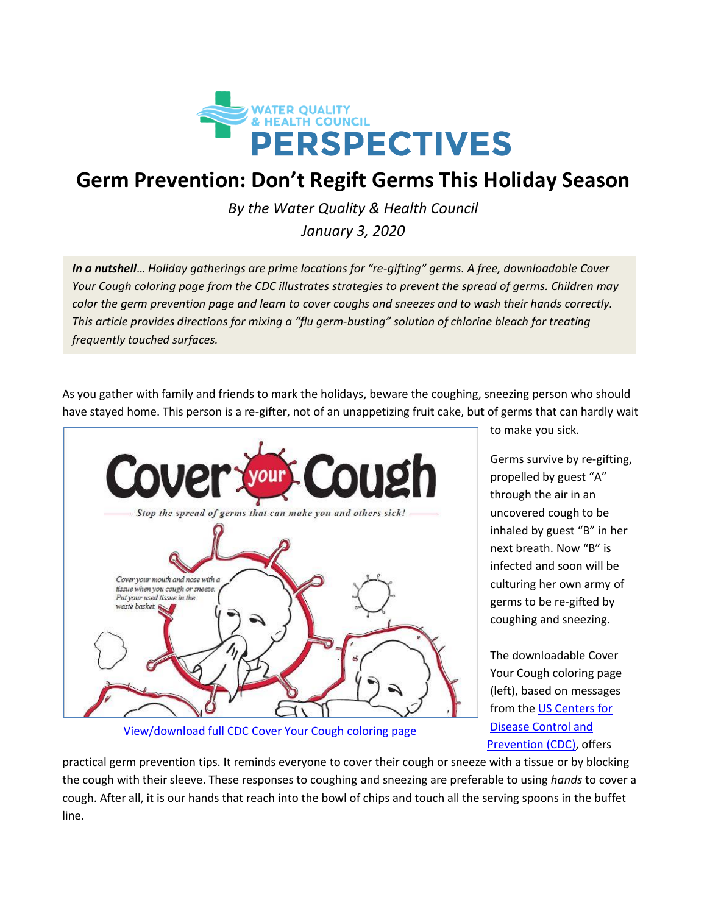

## **Germ Prevention: Don't Regift Germs This Holiday Season**

*By the Water Quality & Health Council*

*January 3, 2020*

*In a nutshell*… *Holiday gatherings are prime locations for "re-gifting" germs. A free, downloadable Cover Your Cough coloring page from the CDC illustrates strategies to prevent the spread of germs. Children may color the germ prevention page and learn to cover coughs and sneezes and to wash their hands correctly. This article provides directions for mixing a "flu germ-busting" solution of chlorine bleach for treating frequently touched surfaces.*

As you gather with family and friends to mark the holidays, beware the coughing, sneezing person who should have stayed home. This person is a re-gifter, not of an unappetizing fruit cake, but of germs that can hardly wait



[View/download full CDC Cover Your Cough coloring page](https://www.cdc.gov/flu/pdf/protect/cdc_cough.pdf)

to make you sick.

Germs survive by re-gifting, propelled by guest "A" through the air in an uncovered cough to be inhaled by guest "B" in her next breath. Now "B" is infected and soon will be culturing her own army of germs to be re-gifted by coughing and sneezing.

The downloadable Cover Your Cough coloring page (left), based on messages from the [US Centers for](https://www.cdc.gov/healthywater/hygiene/etiquette/coughing_sneezing.html)  [Disease Control and](https://www.cdc.gov/healthywater/hygiene/etiquette/coughing_sneezing.html)  [Prevention](https://www.cdc.gov/healthywater/hygiene/etiquette/coughing_sneezing.html) (CDC), offers

practical germ prevention tips. It reminds everyone to cover their cough or sneeze with a tissue or by blocking the cough with their sleeve. These responses to coughing and sneezing are preferable to using *hands* to cover a cough. After all, it is our hands that reach into the bowl of chips and touch all the serving spoons in the buffet line.